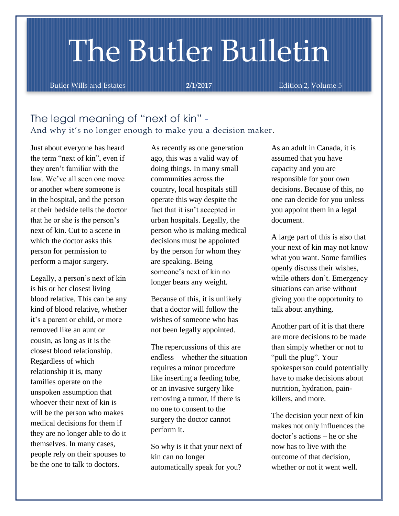# The Butler Bulletin

Butler Wills and Estates **2/1/2017 Edition 2, Volume 5** 

# The legal meaning of "next of kin" - And why it's no longer enough to make you a decision maker.

Just about everyone has heard the term "next of kin", even if they aren't familiar with the law. We've all seen one move or another where someone is in the hospital, and the person at their bedside tells the doctor that he or she is the person's next of kin. Cut to a scene in which the doctor asks this person for permission to perform a major surgery.

Legally, a person's next of kin is his or her closest living blood relative. This can be any kind of blood relative, whether it's a parent or child, or more removed like an aunt or cousin, as long as it is the closest blood relationship. Regardless of which relationship it is, many families operate on the unspoken assumption that whoever their next of kin is will be the person who makes medical decisions for them if they are no longer able to do it themselves. In many cases, people rely on their spouses to be the one to talk to doctors.

As recently as one generation ago, this was a valid way of doing things. In many small communities across the country, local hospitals still operate this way despite the fact that it isn't accepted in urban hospitals. Legally, the person who is making medical decisions must be appointed by the person for whom they are speaking. Being someone's next of kin no longer bears any weight.

Because of this, it is unlikely that a doctor will follow the wishes of someone who has not been legally appointed.

The repercussions of this are endless – whether the situation requires a minor procedure like inserting a feeding tube, or an invasive surgery like removing a tumor, if there is no one to consent to the surgery the doctor cannot perform it.

So why is it that your next of kin can no longer automatically speak for you?

As an adult in Canada, it is assumed that you have capacity and you are responsible for your own decisions. Because of this, no one can decide for you unless you appoint them in a legal document.

A large part of this is also that your next of kin may not know what you want. Some families openly discuss their wishes, while others don't. Emergency situations can arise without giving you the opportunity to talk about anything.

Another part of it is that there are more decisions to be made than simply whether or not to "pull the plug". Your spokesperson could potentially have to make decisions about nutrition, hydration, painkillers, and more.

The decision your next of kin makes not only influences the doctor's actions – he or she now has to live with the outcome of that decision, whether or not it went well.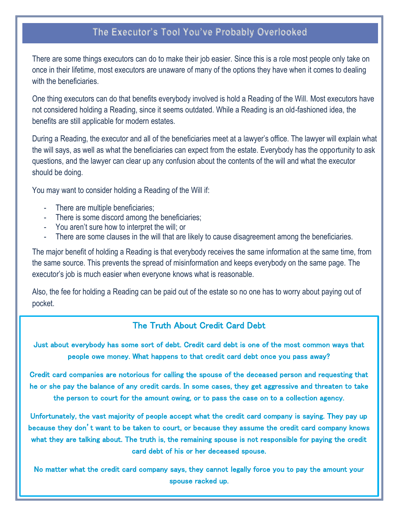# **The Executor's Tool You've Probably Overlooked**

There are some things executors can do to make their job easier. Since this is a role most people only take on once in their lifetime, most executors are unaware of many of the options they have when it comes to dealing with the beneficiaries.

One thing executors can do that benefits everybody involved is hold a Reading of the Will. Most executors have not considered holding a Reading, since it seems outdated. While a Reading is an old-fashioned idea, the benefits are still applicable for modern estates.

During a Reading, the executor and all of the beneficiaries meet at a lawyer's office. The lawyer will explain what the will says, as well as what the beneficiaries can expect from the estate. Everybody has the opportunity to ask questions, and the lawyer can clear up any confusion about the contents of the will and what the executor should be doing.

You may want to consider holding a Reading of the Will if:

- There are multiple beneficiaries;
- There is some discord among the beneficiaries;
- You aren't sure how to interpret the will; or
- There are some clauses in the will that are likely to cause disagreement among the beneficiaries.

The major benefit of holding a Reading is that everybody receives the same information at the same time, from the same source. This prevents the spread of misinformation and keeps everybody on the same page. The executor's job is much easier when everyone knows what is reasonable.

Also, the fee for holding a Reading can be paid out of the estate so no one has to worry about paying out of pocket.

## The Truth About Credit Card Debt

Just about everybody has some sort of debt. Credit card debt is one of the most common ways that people owe money. What happens to that credit card debt once you pass away?

Credit card companies are notorious for calling the spouse of the deceased person and requesting that he or she pay the balance of any credit cards. In some cases, they get aggressive and threaten to take the person to court for the amount owing, or to pass the case on to a collection agency.

Unfortunately, the vast majority of people accept what the credit card company is saying. They pay up because they don't want to be taken to court, or because they assume the credit card company knows what they are talking about. The truth is, the remaining spouse is not responsible for paying the credit card debt of his or her deceased spouse.

No matter what the credit card company says, they cannot legally force you to pay the amount your spouse racked up.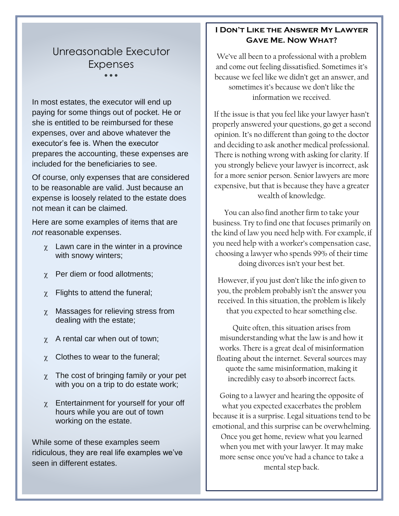# Unreasonable Executor Expenses

 $\bullet$   $\bullet$   $\bullet$ 

In most estates, the executor will end up paying for some things out of pocket. He or she is entitled to be reimbursed for these expenses, over and above whatever the executor's fee is. When the executor prepares the accounting, these expenses are included for the beneficiaries to see.

Of course, only expenses that are considered to be reasonable are valid. Just because an expense is loosely related to the estate does not mean it can be claimed.

Here are some examples of items that are *not* reasonable expenses.

- $\chi$  Lawn care in the winter in a province with snowy winters;
- $\gamma$  Per diem or food allotments;
- $\chi$  Flights to attend the funeral;
- $\chi$  Massages for relieving stress from dealing with the estate;
- $\gamma$  A rental car when out of town;
- $\chi$  Clothes to wear to the funeral;
- $\chi$  The cost of bringing family or your pet with you on a trip to do estate work;
- $\chi$  Entertainment for yourself for your off hours while you are out of town working on the estate.

While some of these examples seem ridiculous, they are real life examples we've seen in different estates.

### **I Don't Like the Answer My Lawyer Gave Me. Now What?**

We've all been to a professional with a problem and come out feeling dissatisfied. Sometimes it's because we feel like we didn't get an answer, and sometimes it's because we don't like the information we received.

If the issue is that you feel like your lawyer hasn't properly answered your questions, go get a second opinion. It's no different than going to the doctor and deciding to ask another medical professional. There is nothing wrong with asking for clarity. If you strongly believe your lawyer is incorrect, ask for a more senior person. Senior lawyers are more expensive, but that is because they have a greater wealth of knowledge.

You can also find another firm to take your business. Try to find one that focuses primarily on the kind of law you need help with. For example, if you need help with a worker's compensation case, choosing a lawyer who spends 99% of their time doing divorces isn't your best bet.

However, if you just don't like the info given to you, the problem probably isn't the answer you received. In this situation, the problem is likely that you expected to hear something else.

Quite often, this situation arises from misunderstanding what the law is and how it works. There is a great deal of misinformation floating about the internet. Several sources may quote the same misinformation, making it incredibly easy to absorb incorrect facts.

Going to a lawyer and hearing the opposite of what you expected exacerbates the problem because it is a surprise. Legal situations tend to be emotional, and this surprise can be overwhelming. Once you get home, review what you learned when you met with your lawyer. It may make more sense once you've had a chance to take a mental step back.